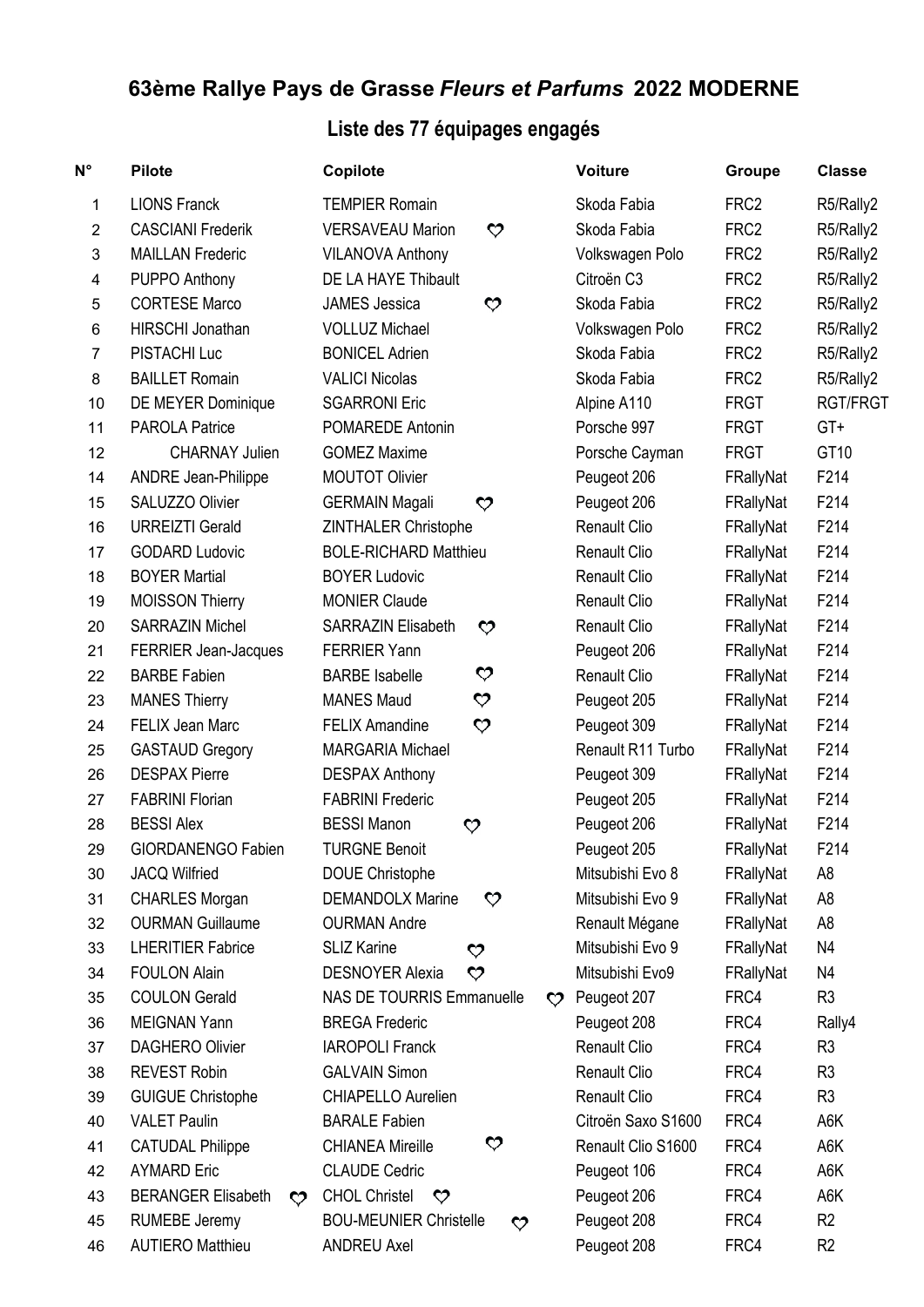## **63ème Rallye Pays de Grasse** *Fleurs et Parfums* **2022 MODERNE**

## **Liste des 77 équipages engagés**

| $N^{\circ}$    | <b>Pilote</b>                                  | Copilote                                                   |                   | <b>Voiture</b>      | Groupe           | <b>Classe</b>   |
|----------------|------------------------------------------------|------------------------------------------------------------|-------------------|---------------------|------------------|-----------------|
| 1              | <b>LIONS Franck</b>                            | <b>TEMPIER Romain</b>                                      |                   | Skoda Fabia         | FRC <sub>2</sub> | R5/Rally2       |
| $\overline{2}$ | <b>CASCIANI Frederik</b>                       | <b>VERSAVEAU Marion</b><br>$\boldsymbol{\heartsuit}$       |                   | Skoda Fabia         | FRC <sub>2</sub> | R5/Rally2       |
| 3              | <b>MAILLAN Frederic</b>                        | <b>VILANOVA Anthony</b>                                    |                   | Volkswagen Polo     | FRC <sub>2</sub> | R5/Rally2       |
| 4              | PUPPO Anthony                                  | DE LA HAYE Thibault                                        |                   | Citroën C3          | FRC <sub>2</sub> | R5/Rally2       |
| 5              | <b>CORTESE Marco</b>                           | <b>JAMES</b> Jessica<br>$\bm{\heartsuit}$                  |                   | Skoda Fabia         | FRC <sub>2</sub> | R5/Rally2       |
| 6              | HIRSCHI Jonathan                               | <b>VOLLUZ Michael</b>                                      |                   | Volkswagen Polo     | FRC <sub>2</sub> | R5/Rally2       |
| $\overline{7}$ | PISTACHI Luc                                   | <b>BONICEL Adrien</b>                                      |                   | Skoda Fabia         | FRC <sub>2</sub> | R5/Rally2       |
| 8              | <b>BAILLET Romain</b>                          | <b>VALICI Nicolas</b>                                      |                   | Skoda Fabia         | FRC <sub>2</sub> | R5/Rally2       |
| 10             | DE MEYER Dominique                             | <b>SGARRONI Eric</b>                                       |                   | Alpine A110         | <b>FRGT</b>      | <b>RGT/FRGT</b> |
| 11             | <b>PAROLA Patrice</b>                          | POMAREDE Antonin                                           |                   | Porsche 997         | <b>FRGT</b>      | $GT+$           |
| 12             | <b>CHARNAY Julien</b>                          | <b>GOMEZ Maxime</b>                                        |                   | Porsche Cayman      | <b>FRGT</b>      | GT10            |
| 14             | <b>ANDRE Jean-Philippe</b>                     | <b>MOUTOT Olivier</b>                                      |                   | Peugeot 206         | FRallyNat        | F214            |
| 15             | SALUZZO Olivier                                | <b>GERMAIN Magali</b><br>$\boldsymbol{\heartsuit}$         |                   | Peugeot 206         | FRallyNat        | F214            |
| 16             | <b>URREIZTI Gerald</b>                         | ZINTHALER Christophe                                       |                   | <b>Renault Clio</b> | FRallyNat        | F214            |
| 17             | <b>GODARD Ludovic</b>                          | <b>BOLE-RICHARD Matthieu</b>                               |                   | <b>Renault Clio</b> | FRallyNat        | F214            |
| 18             | <b>BOYER Martial</b>                           | <b>BOYER Ludovic</b>                                       |                   | <b>Renault Clio</b> | FRallyNat        | F214            |
| 19             | <b>MOISSON Thierry</b>                         | <b>MONIER Claude</b>                                       |                   | <b>Renault Clio</b> | FRallyNat        | F214            |
| 20             | <b>SARRAZIN Michel</b>                         | <b>SARRAZIN Elisabeth</b><br>$\boldsymbol{\heartsuit}$     |                   | Renault Clio        | FRallyNat        | F214            |
| 21             | FERRIER Jean-Jacques                           | <b>FERRIER Yann</b>                                        |                   | Peugeot 206         | FRallyNat        | F214            |
| 22             | <b>BARBE Fabien</b>                            | ♡<br><b>BARBE</b> Isabelle                                 |                   | <b>Renault Clio</b> | FRallyNat        | F214            |
| 23             | <b>MANES Thierry</b>                           | $\bm{\heartsuit}$<br><b>MANES Maud</b>                     |                   | Peugeot 205         | FRallyNat        | F214            |
| 24             | <b>FELIX Jean Marc</b>                         | ♡<br><b>FELIX Amandine</b>                                 |                   | Peugeot 309         | FRallyNat        | F214            |
| 25             | <b>GASTAUD Gregory</b>                         | <b>MARGARIA Michael</b>                                    |                   | Renault R11 Turbo   | FRallyNat        | F214            |
| 26             | <b>DESPAX Pierre</b>                           | <b>DESPAX Anthony</b>                                      |                   | Peugeot 309         | FRallyNat        | F214            |
| 27             | <b>FABRINI Florian</b>                         | <b>FABRINI Frederic</b>                                    |                   | Peugeot 205         | FRallyNat        | F214            |
| 28             | <b>BESSI Alex</b>                              | <b>BESSI Manon</b><br>$\boldsymbol{\heartsuit}$            |                   | Peugeot 206         | FRallyNat        | F214            |
| 29             | <b>GIORDANENGO Fabien</b>                      | <b>TURGNE Benoit</b>                                       |                   | Peugeot 205         | FRallyNat        | F214            |
| 30             | <b>JACQ Wilfried</b>                           | <b>DOUE Christophe</b>                                     |                   | Mitsubishi Evo 8    | FRallyNat        | A <sub>8</sub>  |
| 31             | <b>CHARLES Morgan</b>                          | <b>DEMANDOLX Marine</b><br>♡                               |                   | Mitsubishi Evo 9    | FRallyNat        | A <sub>8</sub>  |
| 32             | <b>OURMAN Guillaume</b>                        | <b>OURMAN Andre</b>                                        |                   | Renault Mégane      | FRallyNat        | A8              |
| 33             | <b>LHERITIER Fabrice</b>                       | <b>SLIZ Karine</b><br>♡                                    |                   | Mitsubishi Evo 9    | FRallyNat        | N4              |
| 34             | <b>FOULON Alain</b>                            | $\mathcal{O}$<br><b>DESNOYER Alexia</b>                    |                   | Mitsubishi Evo9     | FRallyNat        | N4              |
| 35             | <b>COULON Gerald</b>                           | <b>NAS DE TOURRIS Emmanuelle</b>                           | $\bm{\heartsuit}$ | Peugeot 207         | FRC4             | R <sub>3</sub>  |
| 36             | <b>MEIGNAN Yann</b>                            | <b>BREGA Frederic</b>                                      |                   | Peugeot 208         | FRC4             | Rally4          |
| 37             | <b>DAGHERO Olivier</b>                         | <b>IAROPOLI Franck</b>                                     |                   | <b>Renault Clio</b> | FRC4             | R <sub>3</sub>  |
| 38             | <b>REVEST Robin</b>                            | <b>GALVAIN Simon</b>                                       |                   | <b>Renault Clio</b> | FRC4             | R <sub>3</sub>  |
| 39             | <b>GUIGUE Christophe</b>                       | CHIAPELLO Aurelien                                         |                   | <b>Renault Clio</b> | FRC4             | R <sub>3</sub>  |
| 40             | <b>VALET Paulin</b>                            | <b>BARALE Fabien</b>                                       |                   | Citroën Saxo S1600  | FRC4             | A6K             |
| 41             | <b>CATUDAL Philippe</b>                        | $\boldsymbol{\heartsuit}$<br><b>CHIANEA Mireille</b>       |                   | Renault Clio S1600  | FRC4             | A6K             |
| 42             | <b>AYMARD Eric</b>                             | <b>CLAUDE Cedric</b>                                       |                   | Peugeot 106         | FRC4             | A6K             |
| 43             | <b>BERANGER Elisabeth</b><br>$\bm{\heartsuit}$ | <b>CHOL Christel</b><br>$\bm{\heartsuit}$                  |                   | Peugeot 206         | FRC4             | A6K             |
| 45             | <b>RUMEBE Jeremy</b>                           | <b>BOU-MEUNIER Christelle</b><br>$\boldsymbol{\heartsuit}$ |                   | Peugeot 208         | FRC4             | R <sub>2</sub>  |
| 46             | <b>AUTIERO Matthieu</b>                        | <b>ANDREU Axel</b>                                         |                   | Peugeot 208         | FRC4             | R <sub>2</sub>  |